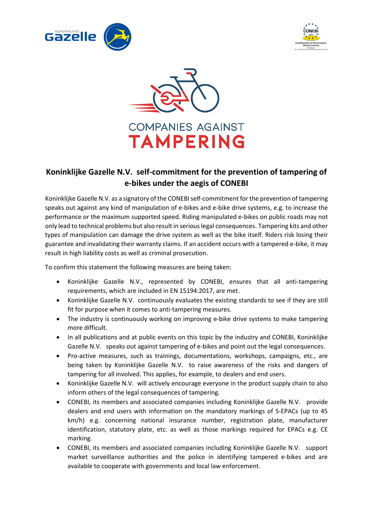





## **Koninklijke Gazelle N.V. self-commitment for the prevention of tampering of e-bikes under the aegis of CONEBI**

Koninklijke Gazelle N.V. as a signatory of the CONEBIself-commitment for the prevention of tampering speaks out against any kind of manipulation of e-bikes and e-bike drive systems, e.g. to increase the performance or the maximum supported speed. Riding manipulated e-bikes on public roads may not only lead to technical problems but also result in serious legal consequences. Tampering kits and other types of manipulation can damage the drive system as well as the bike itself. Riders risk losing their guarantee and invalidating their warranty claims. If an accident occurs with a tampered e-bike, it may result in high liability costs as well as criminal prosecution.

To confirm this statement the following measures are being taken:

- Koninklijke Gazelle N.V., represented by CONEBI, ensures that all anti-tampering requirements, which are included in EN 15194:2017, are met.
- Koninklijke Gazelle N.V. continuously evaluates the existing standards to see if they are still fit for purpose when it comes to anti-tampering measures.
- The industry is continuously working on improving e-bike drive systems to make tampering more difficult.
- In all publications and at public events on this topic by the industry and CONEBI, Koninklijke Gazelle N.V. speaks out against tampering of e-bikes and point out the legal consequences.
- Pro-active measures, such as trainings, documentations, workshops, campaigns, etc., are being taken by Koninklijke Gazelle N.V. to raise awareness of the risks and dangers of tampering for all involved. This applies, for example, to dealers and end users.
- Koninklijke Gazelle N.V. will actively encourage everyone in the product supply chain to also inform others of the legal consequences of tampering.
- CONEBI, its members and associated companies including Koninklijke Gazelle N.V. provide dealers and end users with information on the mandatory markings of S-EPACs (up to 45 km/h) e.g. concerning national insurance number, registration plate, manufacturer identification, statutory plate, etc. as well as those markings required for EPACs e.g. CE marking.
- CONEBI, its members and associated companies including Koninklijke Gazelle N.V. support market surveillance authorities and the police in identifying tampered e-bikes and are available to cooperate with governments and local law enforcement.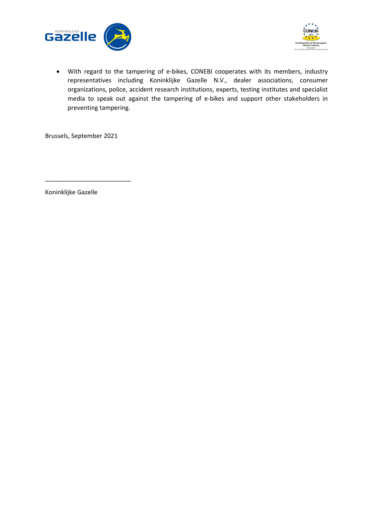



• With regard to the tampering of e-bikes, CONEBI cooperates with its members, industry representatives including Koninklijke Gazelle N.V., dealer associations, consumer organizations, police, accident research institutions, experts, testing institutes and specialist media to speak out against the tampering of e-bikes and support other stakeholders in preventing tampering.

Brussels, September 2021

\_\_\_\_\_\_\_\_\_\_\_\_\_\_\_\_\_\_\_\_\_\_\_\_\_

Koninklijke Gazelle